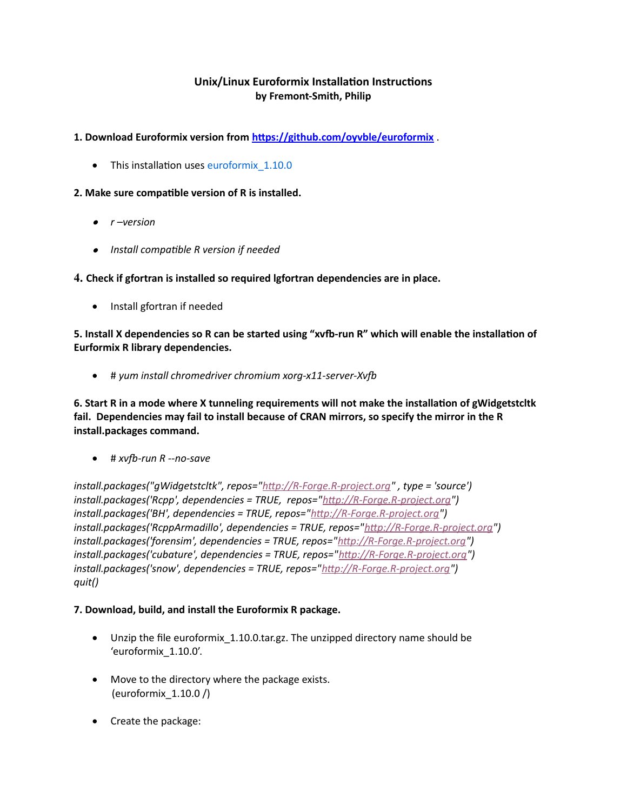# **Unix/Linux Euroformix Installation Instructions by Fremont-Smith, Philip**

### **1. Download Euroformix version from<https://github.com/oyvble/euroformix>** .

• This installation uses euroformix 1.10.0

#### **2. Make sure compatible version of R is installed.**

- *r –version*
- *Install compatible R version if needed*

**4. Check if gfortran is installed so required lgfortran dependencies are in place.**

• Install gfortran if needed

**5. Install X dependencies so R can be started using "xvfb-run R" which will enable the installation of Eurformix R library dependencies.**

# *yum install chromedriver chromium xorg-x11-server-Xvf*

**6. Start R in a mode where X tunneling requirements will not make the installation of gWidgetstcltk fail. Dependencies may fail to install because of CRAN mirrors, so specify the mirror in the R install.packages command.**

 $\bullet$  #  $x$ *vfb-run R --no-save* 

*install.packages("gWidgetstcltk", repos=["http://R-Forge.R-project.org"](http://R-Forge.R-project.org/) , type = 'source') install.packages('Rcpp', dependencies = TRUE, repos=["http://R-Forge.R-project.org"](http://R-Forge.R-project.org/)) install.packages('BH', dependencies = TRUE, repos=["http://R-Forge.R-project.org"](http://R-Forge.R-project.org/)) install.packages('RcppArmadillo', dependencies = TRUE, repos=["http://R-Forge.R-project.org"](http://R-Forge.R-project.org/)) install.packages('forensim', dependencies = TRUE, repos=["http://R-Forge.R-project.org"](http://R-Forge.R-project.org/)) install.packages('cubature', dependencies = TRUE, repos=["http://R-Forge.R-project.org"](http://R-Forge.R-project.org/)) install.packages('snow', dependencies = TRUE, repos="[http://R-Forge.R-project.org"](http://R-Forge.R-project.org/)) quit()*

## **7. Download, build, and install the Euroformix R package.**

- Unzip the file euroformix\_1.10.0.tar.gz. The unzipped directory name should be 'euroformix\_1.10.0'.
- Move to the directory where the package exists. (euroformix\_1.10.0 /)
- Create the package: